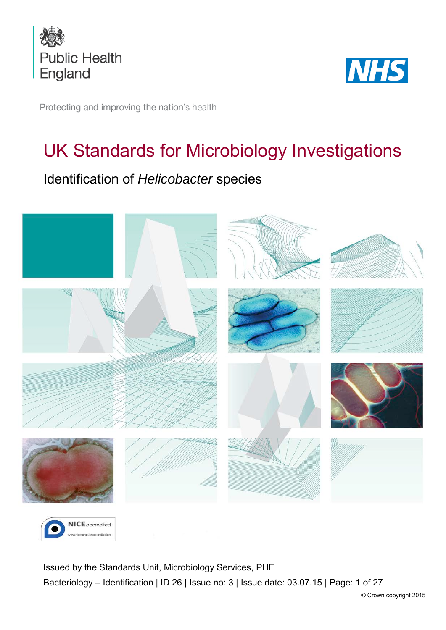



Protecting and improving the nation's health

# UK Standards for Microbiology Investigations

# Identification of *Helicobacter* species





<span id="page-0-0"></span>Issued by the Standards Unit, Microbiology Services, PHE Bacteriology – Identification | ID 26 | Issue no: 3 | Issue date: 03.07.15 | Page: 1 of 27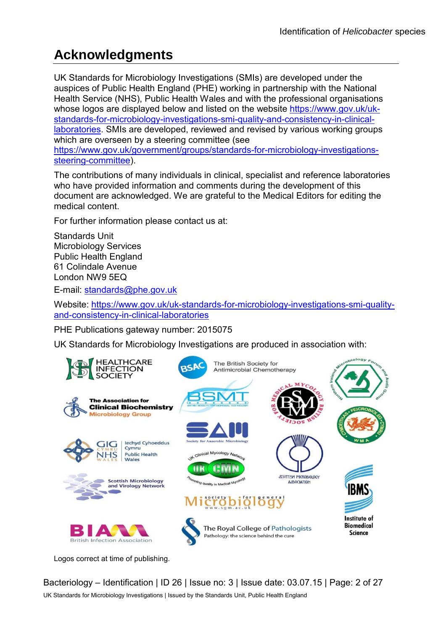# **Acknowledgments**

UK Standards for Microbiology Investigations (SMIs) are developed under the auspices of Public Health England (PHE) working in partnership with the National Health Service (NHS), Public Health Wales and with the professional organisations whose logos are displayed below and listed on the website [https://www.gov.uk/uk](https://www.gov.uk/uk-standards-for-microbiology-investigations-smi-quality-and-consistency-in-clinical-laboratories)[standards-for-microbiology-investigations-smi-quality-and-consistency-in-clinical](https://www.gov.uk/uk-standards-for-microbiology-investigations-smi-quality-and-consistency-in-clinical-laboratories)[laboratories.](https://www.gov.uk/uk-standards-for-microbiology-investigations-smi-quality-and-consistency-in-clinical-laboratories) SMIs are developed, reviewed and revised by various working groups which are overseen by a steering committee (see [https://www.gov.uk/government/groups/standards-for-microbiology-investigations](https://www.gov.uk/government/groups/standards-for-microbiology-investigations-steering-committee)[steering-committee\)](https://www.gov.uk/government/groups/standards-for-microbiology-investigations-steering-committee).

The contributions of many individuals in clinical, specialist and reference laboratories who have provided information and comments during the development of this document are acknowledged. We are grateful to the Medical Editors for editing the medical content.

For further information please contact us at:

Standards Unit Microbiology Services Public Health England 61 Colindale Avenue London NW9 5EQ

E-mail: [standards@phe.gov.uk](mailto:standards@phe.gov.uk)

Website: [https://www.gov.uk/uk-standards-for-microbiology-investigations-smi-quality](https://www.gov.uk/uk-standards-for-microbiology-investigations-smi-quality-and-consistency-in-clinical-laboratories)[and-consistency-in-clinical-laboratories](https://www.gov.uk/uk-standards-for-microbiology-investigations-smi-quality-and-consistency-in-clinical-laboratories)

PHE Publications gateway number: 2015075

UK Standards for Microbiology Investigations are produced in association with:



Logos correct at time of publishing.

Bacteriology – Identification | ID 26 | Issue no: 3 | Issue date: 03.07.15 | Page: 2 of 27 UK Standards for Microbiology Investigations | Issued by the Standards Unit, Public Health England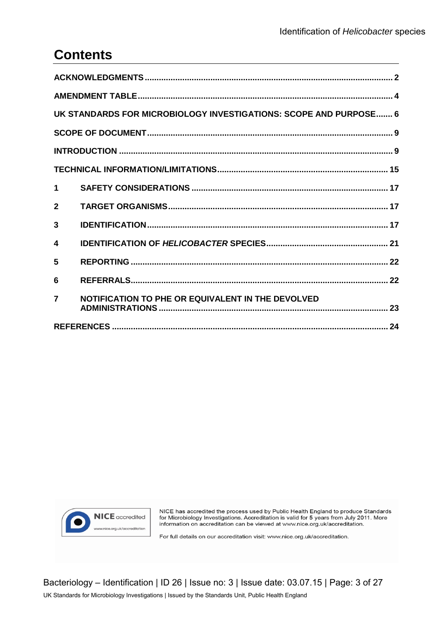# **Contents**

| UK STANDARDS FOR MICROBIOLOGY INVESTIGATIONS: SCOPE AND PURPOSE 6 |                                                   |  |  |  |
|-------------------------------------------------------------------|---------------------------------------------------|--|--|--|
|                                                                   |                                                   |  |  |  |
|                                                                   |                                                   |  |  |  |
|                                                                   |                                                   |  |  |  |
| $\mathbf 1$                                                       |                                                   |  |  |  |
| $\mathbf{2}$                                                      |                                                   |  |  |  |
| 3                                                                 |                                                   |  |  |  |
| 4                                                                 |                                                   |  |  |  |
| 5                                                                 |                                                   |  |  |  |
| 6                                                                 |                                                   |  |  |  |
| $\overline{\mathbf{z}}$                                           | NOTIFICATION TO PHE OR EQUIVALENT IN THE DEVOLVED |  |  |  |
|                                                                   |                                                   |  |  |  |



NICE has accredited the process used by Public Health England to produce Standards<br>for Microbiology Investigations. Accreditation is valid for 5 years from July 2011. More<br>information on accreditation can be viewed at www.

For full details on our accreditation visit: www.nice.org.uk/accreditation.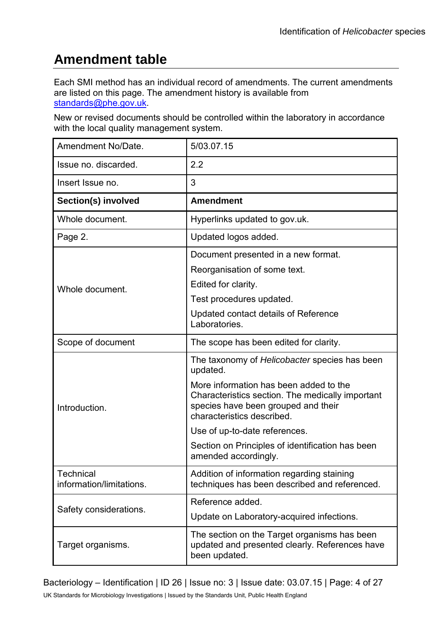# **Amendment table**

Each SMI method has an individual record of amendments. The current amendments are listed on this page. The amendment history is available from [standards@phe.gov.uk.](mailto:standards@phe.gov.uk)

New or revised documents should be controlled within the laboratory in accordance with the local quality management system.

| Amendment No/Date.                           | 5/03.07.15                                                                                                                                                                                                                                                                                                                                |
|----------------------------------------------|-------------------------------------------------------------------------------------------------------------------------------------------------------------------------------------------------------------------------------------------------------------------------------------------------------------------------------------------|
| Issue no. discarded.                         | 2.2                                                                                                                                                                                                                                                                                                                                       |
| Insert Issue no.                             | 3                                                                                                                                                                                                                                                                                                                                         |
| Section(s) involved                          | <b>Amendment</b>                                                                                                                                                                                                                                                                                                                          |
| Whole document.                              | Hyperlinks updated to gov.uk.                                                                                                                                                                                                                                                                                                             |
| Page 2.                                      | Updated logos added.                                                                                                                                                                                                                                                                                                                      |
| Whole document.                              | Document presented in a new format.<br>Reorganisation of some text.<br>Edited for clarity.<br>Test procedures updated.<br>Updated contact details of Reference<br>Laboratories.                                                                                                                                                           |
| Scope of document                            | The scope has been edited for clarity.                                                                                                                                                                                                                                                                                                    |
| Introduction.                                | The taxonomy of Helicobacter species has been<br>updated.<br>More information has been added to the<br>Characteristics section. The medically important<br>species have been grouped and their<br>characteristics described.<br>Use of up-to-date references.<br>Section on Principles of identification has been<br>amended accordingly. |
| <b>Technical</b><br>information/limitations. | Addition of information regarding staining<br>techniques has been described and referenced.                                                                                                                                                                                                                                               |
| Safety considerations.                       | Reference added.<br>Update on Laboratory-acquired infections.                                                                                                                                                                                                                                                                             |
| Target organisms.                            | The section on the Target organisms has been<br>updated and presented clearly. References have<br>been updated.                                                                                                                                                                                                                           |

Bacteriology – Identification | ID 26 | Issue no: 3 | Issue date: 03.07.15 | Page: 4 of 27 UK Standards for Microbiology Investigations | Issued by the Standards Unit, Public Health England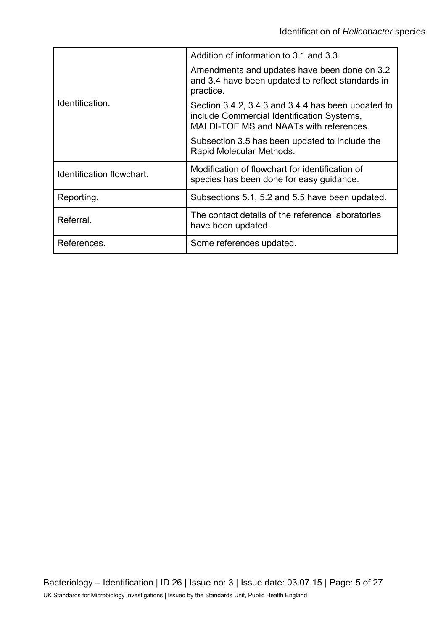|                           | Addition of information to 3.1 and 3.3.                                                                                                     |
|---------------------------|---------------------------------------------------------------------------------------------------------------------------------------------|
|                           | Amendments and updates have been done on 3.2<br>and 3.4 have been updated to reflect standards in<br>practice.                              |
| Identification.           | Section 3.4.2, 3.4.3 and 3.4.4 has been updated to<br>include Commercial Identification Systems,<br>MALDI-TOF MS and NAATs with references. |
|                           | Subsection 3.5 has been updated to include the<br>Rapid Molecular Methods.                                                                  |
| Identification flowchart. | Modification of flowchart for identification of<br>species has been done for easy guidance.                                                 |
| Reporting.                | Subsections 5.1, 5.2 and 5.5 have been updated.                                                                                             |
| Referral.                 | The contact details of the reference laboratories<br>have been updated.                                                                     |
| References.               | Some references updated.                                                                                                                    |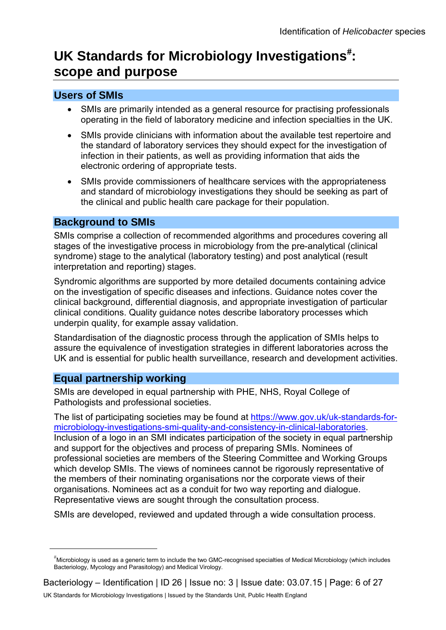# UK Standards for Microbiology Investigations<sup>[#](#page-0-0)</sup>: **scope and purpose**

# **Users of SMIs**

- SMIs are primarily intended as a general resource for practising professionals operating in the field of laboratory medicine and infection specialties in the UK.
- SMIs provide clinicians with information about the available test repertoire and the standard of laboratory services they should expect for the investigation of infection in their patients, as well as providing information that aids the electronic ordering of appropriate tests.
- SMIs provide commissioners of healthcare services with the appropriateness and standard of microbiology investigations they should be seeking as part of the clinical and public health care package for their population.

## **Background to SMIs**

SMIs comprise a collection of recommended algorithms and procedures covering all stages of the investigative process in microbiology from the pre-analytical (clinical syndrome) stage to the analytical (laboratory testing) and post analytical (result interpretation and reporting) stages.

Syndromic algorithms are supported by more detailed documents containing advice on the investigation of specific diseases and infections. Guidance notes cover the clinical background, differential diagnosis, and appropriate investigation of particular clinical conditions. Quality guidance notes describe laboratory processes which underpin quality, for example assay validation.

Standardisation of the diagnostic process through the application of SMIs helps to assure the equivalence of investigation strategies in different laboratories across the UK and is essential for public health surveillance, research and development activities.

## **Equal partnership working**

 $\overline{a}$ 

SMIs are developed in equal partnership with PHE, NHS, Royal College of Pathologists and professional societies.

The list of participating societies may be found at [https://www.gov.uk/uk-standards-for](https://www.gov.uk/uk-standards-for-microbiology-investigations-smi-quality-and-consistency-in-clinical-laboratories)[microbiology-investigations-smi-quality-and-consistency-in-clinical-laboratories.](https://www.gov.uk/uk-standards-for-microbiology-investigations-smi-quality-and-consistency-in-clinical-laboratories) Inclusion of a logo in an SMI indicates participation of the society in equal partnership and support for the objectives and process of preparing SMIs. Nominees of professional societies are members of the Steering Committee and Working Groups which develop SMIs. The views of nominees cannot be rigorously representative of the members of their nominating organisations nor the corporate views of their organisations. Nominees act as a conduit for two way reporting and dialogue. Representative views are sought through the consultation process.

SMIs are developed, reviewed and updated through a wide consultation process.

<sup>#</sup> Microbiology is used as a generic term to include the two GMC-recognised specialties of Medical Microbiology (which includes Bacteriology, Mycology and Parasitology) and Medical Virology.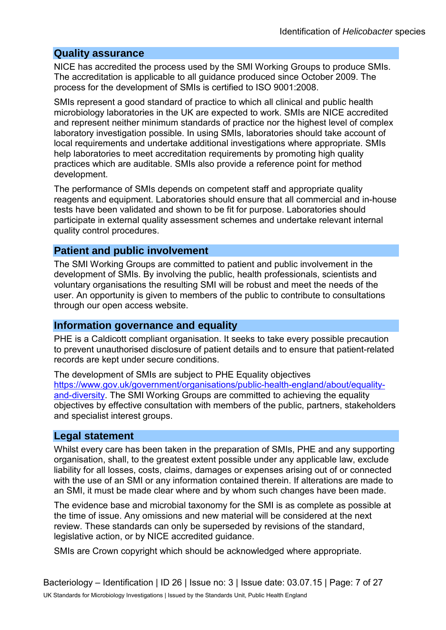#### **Quality assurance**

NICE has accredited the process used by the SMI Working Groups to produce SMIs. The accreditation is applicable to all guidance produced since October 2009. The process for the development of SMIs is certified to ISO 9001:2008.

SMIs represent a good standard of practice to which all clinical and public health microbiology laboratories in the UK are expected to work. SMIs are NICE accredited and represent neither minimum standards of practice nor the highest level of complex laboratory investigation possible. In using SMIs, laboratories should take account of local requirements and undertake additional investigations where appropriate. SMIs help laboratories to meet accreditation requirements by promoting high quality practices which are auditable. SMIs also provide a reference point for method development.

The performance of SMIs depends on competent staff and appropriate quality reagents and equipment. Laboratories should ensure that all commercial and in-house tests have been validated and shown to be fit for purpose. Laboratories should participate in external quality assessment schemes and undertake relevant internal quality control procedures.

### **Patient and public involvement**

The SMI Working Groups are committed to patient and public involvement in the development of SMIs. By involving the public, health professionals, scientists and voluntary organisations the resulting SMI will be robust and meet the needs of the user. An opportunity is given to members of the public to contribute to consultations through our open access website.

### **Information governance and equality**

PHE is a Caldicott compliant organisation. It seeks to take every possible precaution to prevent unauthorised disclosure of patient details and to ensure that patient-related records are kept under secure conditions.

The development of SMIs are subject to PHE Equality objectives [https://www.gov.uk/government/organisations/public-health-england/about/equality](https://www.gov.uk/government/organisations/public-health-england/about/equality-and-diversity)[and-diversity.](https://www.gov.uk/government/organisations/public-health-england/about/equality-and-diversity) The SMI Working Groups are committed to achieving the equality objectives by effective consultation with members of the public, partners, stakeholders and specialist interest groups.

### **Legal statement**

Whilst every care has been taken in the preparation of SMIs, PHE and any supporting organisation, shall, to the greatest extent possible under any applicable law, exclude liability for all losses, costs, claims, damages or expenses arising out of or connected with the use of an SMI or any information contained therein. If alterations are made to an SMI, it must be made clear where and by whom such changes have been made.

The evidence base and microbial taxonomy for the SMI is as complete as possible at the time of issue. Any omissions and new material will be considered at the next review. These standards can only be superseded by revisions of the standard, legislative action, or by NICE accredited guidance.

SMIs are Crown copyright which should be acknowledged where appropriate.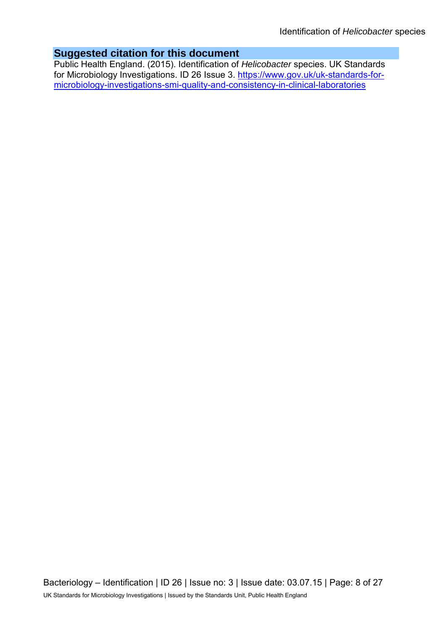# **Suggested citation for this document**

Public Health England. (2015). Identification of *Helicobacter* species. UK Standards for Microbiology Investigations. ID 26 Issue 3. [https://www.gov.uk/uk-standards-for](https://www.gov.uk/uk-standards-for-microbiology-investigations-smi-quality-and-consistency-in-clinical-laboratories)[microbiology-investigations-smi-quality-and-consistency-in-clinical-laboratories](https://www.gov.uk/uk-standards-for-microbiology-investigations-smi-quality-and-consistency-in-clinical-laboratories)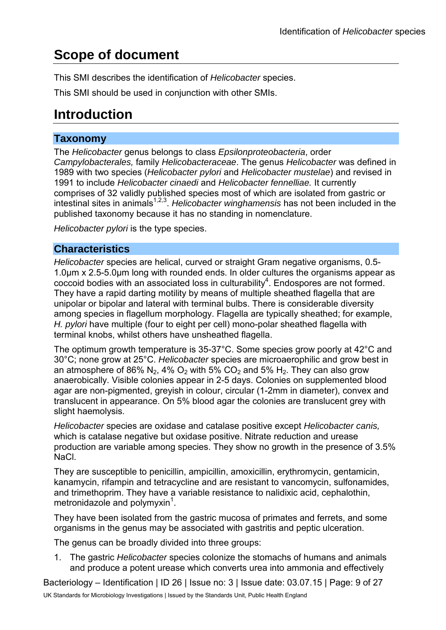# **Scope of document**

This SMI describes the identification of *Helicobacter* species.

This SMI should be used in conjunction with other SMIs.

# **Introduction**

# **Taxonomy**

The *Helicobacter* genus belongs to class *Epsilonproteobacteria*, order *Campylobacterales,* family *Helicobacteraceae*. The genus *Helicobacter* was defined in 1989 with two species (*Helicobacter pylori* and *Helicobacter mustelae*) and revised in 1991 to include *Helicobacter cinaedi* and *Helicobacter fennelliae.* It currently comprises of 32 validly published species most of which are isolated from gastric or intestinal sites in animals<sup>1,2,3</sup>. *Helicobacter winghamensis* has not been included in the published taxonomy because it has no standing in nomenclature.

*Helicobacter pylori* is the type species.

# **Characteristics**

*Helicobacter* species are helical, curved or straight Gram negative organisms, 0.5- 1.0µm x 2.5-5.0µm long with rounded ends. In older cultures the organisms appear as coccoid bodies with an associated loss in culturability $4$ . Endospores are not formed. They have a rapid darting motility by means of multiple sheathed flagella that are unipolar or bipolar and lateral with terminal bulbs. There is considerable diversity among species in flagellum morphology. Flagella are typically sheathed; for example, *H. pylori* have multiple (four to eight per cell) mono-polar sheathed flagella with terminal knobs, whilst others have unsheathed flagella.

The optimum growth temperature is 35-37°C. Some species grow poorly at 42°C and 30°C; none grow at 25°C. *Helicobacter* species are microaerophilic and grow best in an atmosphere of 86% N<sub>2</sub>, 4% O<sub>2</sub> with 5% CO<sub>2</sub> and 5% H<sub>2</sub>. They can also grow anaerobically. Visible colonies appear in 2-5 days. Colonies on supplemented blood agar are non-pigmented, greyish in colour, circular (1-2mm in diameter), convex and translucent in appearance. On 5% blood agar the colonies are translucent grey with slight haemolysis.

*Helicobacter* species are oxidase and catalase positive except *Helicobacter canis,*  which is catalase negative but oxidase positive. Nitrate reduction and urease production are variable among species. They show no growth in the presence of 3.5% NaCl.

They are susceptible to penicillin, ampicillin, amoxicillin, erythromycin, gentamicin, kanamycin, rifampin and tetracycline and are resistant to vancomycin, sulfonamides, and trimethoprim. They have a variable resistance to nalidixic acid, cephalothin, metronidazole and polymyxin<sup>1</sup>.

They have been isolated from the gastric mucosa of primates and ferrets, and some organisms in the genus may be associated with gastritis and peptic ulceration.

The genus can be broadly divided into three groups:

1. The gastric *Helicobacter* species colonize the stomachs of humans and animals and produce a potent urease which converts urea into ammonia and effectively

Bacteriology – Identification | ID 26 | Issue no: 3 | Issue date: 03.07.15 | Page: 9 of 27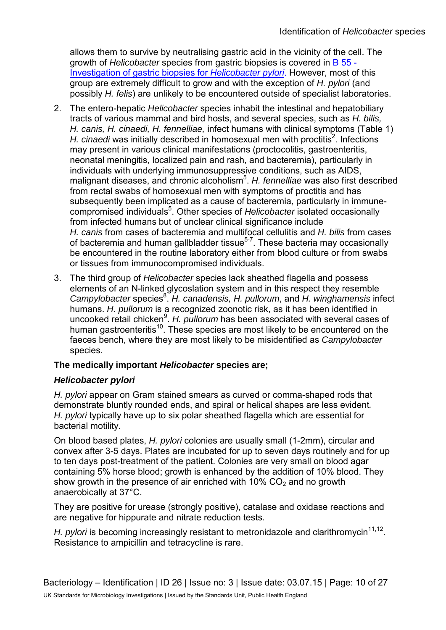allows them to survive by neutralising gastric acid in the vicinity of the cell. The growth of *Helicobacter* species from gastric biopsies is covered in [B 55 -](https://www.gov.uk/government/collections/standards-for-microbiology-investigations-smi#bacteriology)  [Investigation of gastric biopsies for](https://www.gov.uk/government/collections/standards-for-microbiology-investigations-smi#bacteriology) *Helicobacter pylori*. However, most of this group are extremely difficult to grow and with the exception of *H. pylori* (and possibly *H. felis*) are unlikely to be encountered outside of specialist laboratories.

- 2. The entero-hepatic *Helicobacter* species inhabit the intestinal and hepatobiliary tracts of various mammal and bird hosts, and several species, such as *H. bilis, H. canis, H. cinaedi, H. fennelliae,* infect humans with clinical symptoms (Table 1) H. cinaedi was initially described in homosexual men with proctitis<sup>2</sup>. Infections may present in various clinical manifestations (proctocolitis, gastroenteritis, neonatal meningitis, localized pain and rash, and bacteremia), particularly in individuals with underlying immunosuppressive conditions, such as AIDS, malignant diseases, and chronic alcoholism<sup>5</sup>. H. fennelliae was also first described from rectal swabs of homosexual men with symptoms of proctitis and has subsequently been implicated as a cause of bacteremia, particularly in immunecompromised individuals<sup>5</sup>. Other species of Helicobacter isolated occasionally from infected humans but of unclear clinical significance include *H. canis* from cases of bacteremia and multifocal cellulitis and *H. bilis* from cases of bacteremia and human gallbladder tissue $5-7$ . These bacteria may occasionally be encountered in the routine laboratory either from blood culture or from swabs or tissues from immunocompromised individuals.
- 3. The third group of *Helicobacter* species lack sheathed flagella and possess elements of an N-linked glycoslation system and in this respect they resemble Campylobacter species<sup>8</sup>. H. canadensis, H. pullorum, and H. winghamensis infect humans. *H. pullorum* is a recognized zoonotic risk, as it has been identified in uncooked retail chicken<sup>9</sup>. H. pullorum has been associated with several cases of human gastroenteritis<sup>10</sup>. These species are most likely to be encountered on the faeces bench, where they are most likely to be misidentified as *Campylobacter* species.

### **The medically important** *Helicobacter* **species are;**

#### *Helicobacter pylori*

*H. pylori* appear on Gram stained smears as curved or comma-shaped rods that demonstrate bluntly rounded ends, and spiral or helical shapes are less evident*. H. pylori* typically have up to six polar sheathed flagella which are essential for bacterial motility.

On blood based plates, *H. pylori* colonies are usually small (1-2mm), circular and convex after 3-5 days. Plates are incubated for up to seven days routinely and for up to ten days post-treatment of the patient. Colonies are very small on blood agar containing 5% horse blood; growth is enhanced by the addition of 10% blood. They show growth in the presence of air enriched with  $10\%$  CO<sub>2</sub> and no growth anaerobically at 37°C.

They are positive for urease (strongly positive), catalase and oxidase reactions and are negative for hippurate and nitrate reduction tests.

*H. pylori* is becoming increasingly resistant to metronidazole and clarithromycin<sup>11,12</sup>. Resistance to ampicillin and tetracycline is rare.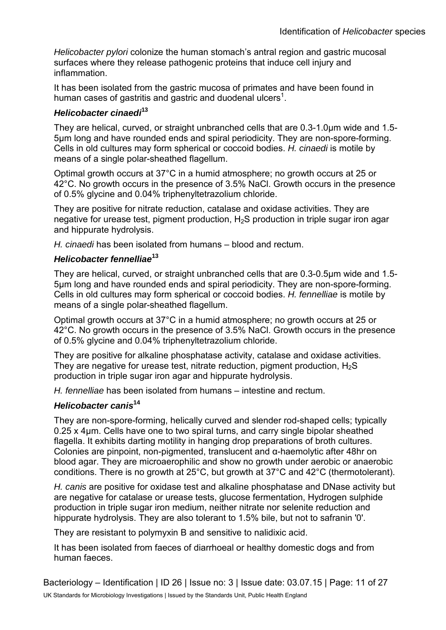*Helicobacter pylori* colonize the human stomach's antral region and gastric mucosal surfaces where they release pathogenic proteins that induce cell injury and inflammation.

It has been isolated from the gastric mucosa of primates and have been found in human cases of gastritis and gastric and duodenal ulcers<sup>1</sup>.

### *Helicobacter cinaedi***<sup>13</sup>**

They are helical, curved, or straight unbranched cells that are 0.3-1.0µm wide and 1.5- 5µm long and have rounded ends and spiral periodicity. They are non-spore-forming. Cells in old cultures may form spherical or coccoid bodies. *H. cinaedi* is motile by means of a single polar-sheathed flagellum.

Optimal growth occurs at 37°C in a humid atmosphere; no growth occurs at 25 or 42°C. No growth occurs in the presence of 3.5% NaCl. Growth occurs in the presence of 0.5% glycine and 0.04% triphenyltetrazolium chloride.

They are positive for nitrate reduction, catalase and oxidase activities. They are negative for urease test, pigment production, H<sub>2</sub>S production in triple sugar iron agar and hippurate hydrolysis.

*H. cinaedi* has been isolated from humans – blood and rectum.

### *Helicobacter fennelliae***<sup>13</sup>**

They are helical, curved, or straight unbranched cells that are 0.3-0.5µm wide and 1.5- 5µm long and have rounded ends and spiral periodicity. They are non-spore-forming. Cells in old cultures may form spherical or coccoid bodies. *H. fennelliae* is motile by means of a single polar-sheathed flagellum.

Optimal growth occurs at 37°C in a humid atmosphere; no growth occurs at 25 or 42°C. No growth occurs in the presence of 3.5% NaCl. Growth occurs in the presence of 0.5% glycine and 0.04% triphenyltetrazolium chloride.

They are positive for alkaline phosphatase activity, catalase and oxidase activities. They are negative for urease test, nitrate reduction, pigment production,  $H_2S$ production in triple sugar iron agar and hippurate hydrolysis.

*H. fennelliae* has been isolated from humans – intestine and rectum.

### *Helicobacter canis***<sup>14</sup>**

They are non-spore-forming, helically curved and slender rod-shaped cells; typically 0.25 x 4µm. Cells have one to two spiral turns, and carry single bipolar sheathed flagella. It exhibits darting motility in hanging drop preparations of broth cultures. Colonies are pinpoint, non-pigmented, translucent and α-haemolytic after 48hr on blood agar. They are microaerophilic and show no growth under aerobic or anaerobic conditions. There is no growth at 25°C, but growth at 37°C and 42°C (thermotolerant).

*H. canis* are positive for oxidase test and alkaline phosphatase and DNase activity but are negative for catalase or urease tests, glucose fermentation, Hydrogen sulphide production in triple sugar iron medium, neither nitrate nor selenite reduction and hippurate hydrolysis. They are also tolerant to 1.5% bile, but not to safranin '0'.

They are resistant to polymyxin B and sensitive to nalidixic acid.

It has been isolated from faeces of diarrhoeal or healthy domestic dogs and from human faeces.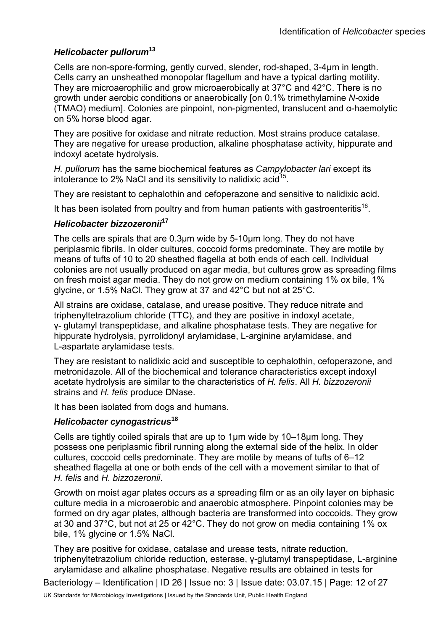### *Helicobacter pullorum***<sup>13</sup>**

Cells are non-spore-forming, gently curved, slender, rod-shaped, 3-4µm in length. Cells carry an unsheathed monopolar flagellum and have a typical darting motility. They are microaerophilic and grow microaerobically at 37°C and 42°C. There is no growth under aerobic conditions or anaerobically [on 0.1% trimethylamine *N-*oxide (TMAO) medium]. Colonies are pinpoint, non-pigmented, translucent and α-haemolytic on 5% horse blood agar.

They are positive for oxidase and nitrate reduction. Most strains produce catalase. They are negative for urease production, alkaline phosphatase activity, hippurate and indoxyl acetate hydrolysis.

*H. pullorum* has the same biochemical features as *Campylobacter lari* except its intolerance to 2% NaCl and its sensitivity to nalidixic acid<sup>15</sup>.

They are resistant to cephalothin and cefoperazone and sensitive to nalidixic acid.

It has been isolated from poultry and from human patients with gastroenteritis<sup>16</sup>.

#### *Helicobacter bizzozeronii***<sup>17</sup>**

The cells are spirals that are 0.3µm wide by 5-10µm long. They do not have periplasmic fibrils. In older cultures, coccoid forms predominate. They are motile by means of tufts of 10 to 20 sheathed flagella at both ends of each cell. Individual colonies are not usually produced on agar media, but cultures grow as spreading films on fresh moist agar media. They do not grow on medium containing 1% ox bile, 1% glycine, or 1.5% NaCl. They grow at 37 and 42°C but not at 25°C.

All strains are oxidase, catalase, and urease positive. They reduce nitrate and triphenyltetrazolium chloride (TTC), and they are positive in indoxyl acetate, γ- glutamyl transpeptidase, and alkaline phosphatase tests. They are negative for hippurate hydrolysis, pyrrolidonyl arylamidase, L-arginine arylamidase, and L-aspartate arylamidase tests.

They are resistant to nalidixic acid and susceptible to cephalothin, cefoperazone, and metronidazole. All of the biochemical and tolerance characteristics except indoxyl acetate hydrolysis are similar to the characteristics of *H. felis*. All *H. bizzozeronii*  strains and *H. felis* produce DNase.

It has been isolated from dogs and humans.

### *Helicobacter cynogastricu***s<sup>18</sup>**

Cells are tightly coiled spirals that are up to 1µm wide by 10–18µm long. They possess one periplasmic fibril running along the external side of the helix. In older cultures, coccoid cells predominate. They are motile by means of tufts of 6–12 sheathed flagella at one or both ends of the cell with a movement similar to that of *H. felis* and *H. bizzozeronii*.

Growth on moist agar plates occurs as a spreading film or as an oily layer on biphasic culture media in a microaerobic and anaerobic atmosphere. Pinpoint colonies may be formed on dry agar plates, although bacteria are transformed into coccoids. They grow at 30 and 37°C, but not at 25 or 42°C. They do not grow on media containing 1% ox bile, 1% glycine or 1.5% NaCl.

They are positive for oxidase, catalase and urease tests, nitrate reduction, triphenyltetrazolium chloride reduction, esterase, γ-glutamyl transpeptidase, L-arginine arylamidase and alkaline phosphatase. Negative results are obtained in tests for

Bacteriology – Identification | ID 26 | Issue no: 3 | Issue date: 03.07.15 | Page: 12 of 27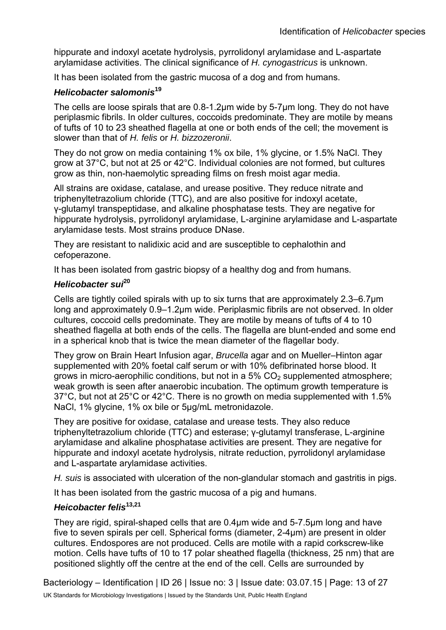hippurate and indoxyl acetate hydrolysis, pyrrolidonyl arylamidase and L-aspartate arylamidase activities. The clinical significance of *H. cynogastricus* is unknown.

It has been isolated from the gastric mucosa of a dog and from humans.

#### *Helicobacter salomonis***<sup>19</sup>**

The cells are loose spirals that are 0.8-1.2µm wide by 5-7µm long. They do not have periplasmic fibrils. In older cultures, coccoids predominate. They are motile by means of tufts of 10 to 23 sheathed flagella at one or both ends of the cell; the movement is slower than that of *H. felis* or *H. bizzozeronii*.

They do not grow on media containing 1% ox bile, 1% glycine, or 1.5% NaCl. They grow at 37°C, but not at 25 or 42°C. Individual colonies are not formed, but cultures grow as thin, non-haemolytic spreading films on fresh moist agar media.

All strains are oxidase, catalase, and urease positive. They reduce nitrate and triphenyltetrazolium chloride (TTC), and are also positive for indoxyl acetate, γ-glutamyl transpeptidase, and alkaline phosphatase tests. They are negative for hippurate hydrolysis, pyrrolidonyl arylamidase, L-arginine arylamidase and L-aspartate arylamidase tests. Most strains produce DNase.

They are resistant to nalidixic acid and are susceptible to cephalothin and cefoperazone.

It has been isolated from gastric biopsy of a healthy dog and from humans.

### *Helicobacter sui***<sup>20</sup>**

Cells are tightly coiled spirals with up to six turns that are approximately 2.3–6.7µm long and approximately 0.9–1.2µm wide. Periplasmic fibrils are not observed. In older cultures, coccoid cells predominate. They are motile by means of tufts of 4 to 10 sheathed flagella at both ends of the cells. The flagella are blunt-ended and some end in a spherical knob that is twice the mean diameter of the flagellar body.

They grow on Brain Heart Infusion agar, *Brucella* agar and on Mueller–Hinton agar supplemented with 20% foetal calf serum or with 10% defibrinated horse blood. It grows in micro-aerophilic conditions, but not in a  $5\%$  CO<sub>2</sub> supplemented atmosphere; weak growth is seen after anaerobic incubation. The optimum growth temperature is 37°C, but not at 25°C or 42°C. There is no growth on media supplemented with 1.5% NaCl, 1% glycine, 1% ox bile or 5µg/mL metronidazole.

They are positive for oxidase, catalase and urease tests. They also reduce triphenyltetrazolium chloride (TTC) and esterase; γ-glutamyl transferase, L-arginine arylamidase and alkaline phosphatase activities are present. They are negative for hippurate and indoxyl acetate hydrolysis, nitrate reduction, pyrrolidonyl arylamidase and L-aspartate arylamidase activities.

*H. suis* is associated with ulceration of the non-glandular stomach and gastritis in pigs.

It has been isolated from the gastric mucosa of a pig and humans.

### *Heicobacter felis***13,21**

They are rigid, spiral-shaped cells that are 0.4µm wide and 5-7.5µm long and have five to seven spirals per cell. Spherical forms (diameter, 2-4µm) are present in older cultures. Endospores are not produced. Cells are motile with a rapid corkscrew-like motion. Cells have tufts of 10 to 17 polar sheathed flagella (thickness, 25 nm) that are positioned slightly off the centre at the end of the cell. Cells are surrounded by

Bacteriology – Identification | ID 26 | Issue no: 3 | Issue date: 03.07.15 | Page: 13 of 27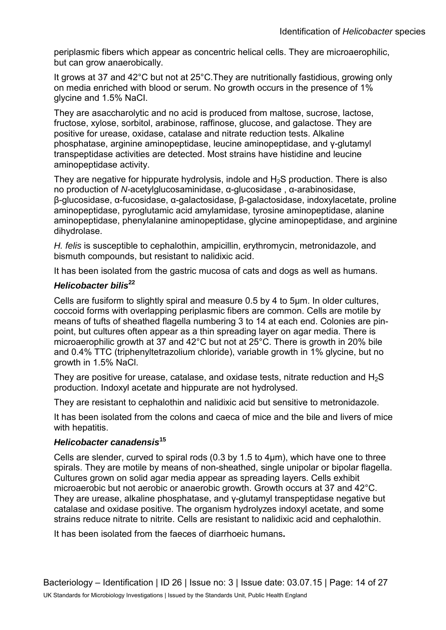periplasmic fibers which appear as concentric helical cells. They are microaerophilic, but can grow anaerobically.

It grows at 37 and 42°C but not at 25°C.They are nutritionally fastidious, growing only on media enriched with blood or serum. No growth occurs in the presence of 1% glycine and 1.5% NaCI.

They are asaccharolytic and no acid is produced from maltose, sucrose, lactose, fructose, xylose, sorbitol, arabinose, raffinose, glucose, and galactose. They are positive for urease, oxidase, catalase and nitrate reduction tests. Alkaline phosphatase, arginine aminopeptidase, leucine aminopeptidase, and γ-glutamyl transpeptidase activities are detected. Most strains have histidine and leucine aminopeptidase activity.

They are negative for hippurate hydrolysis, indole and  $H_2S$  production. There is also no production of *N-*acetylglucosaminidase, α-glucosidase , α-arabinosidase, β-glucosidase, α-fucosidase, α-galactosidase, β-galactosidase, indoxylacetate, proline aminopeptidase, pyroglutamic acid amylamidase, tyrosine aminopeptidase, alanine aminopeptidase, phenylalanine aminopeptidase, glycine aminopeptidase, and arginine dihydrolase.

*H. felis* is susceptible to cephalothin, ampicillin, erythromycin, metronidazole, and bismuth compounds, but resistant to nalidixic acid.

It has been isolated from the gastric mucosa of cats and dogs as well as humans.

#### *Helicobacter bilis***<sup>22</sup>**

Cells are fusiform to slightly spiral and measure 0.5 by 4 to 5µm. In older cultures, coccoid forms with overlapping periplasmic fibers are common. Cells are motile by means of tufts of sheathed flagella numbering 3 to 14 at each end. Colonies are pinpoint, but cultures often appear as a thin spreading layer on agar media. There is microaerophilic growth at 37 and 42°C but not at 25°C. There is growth in 20% bile and 0.4% TTC (triphenyltetrazolium chloride), variable growth in 1% glycine, but no growth in 1.5% NaCl.

They are positive for urease, catalase, and oxidase tests, nitrate reduction and  $H_2S$ production. Indoxyl acetate and hippurate are not hydrolysed.

They are resistant to cephalothin and nalidixic acid but sensitive to metronidazole.

It has been isolated from the colons and caeca of mice and the bile and livers of mice with hepatitis.

#### *Helicobacter canadensis***<sup>15</sup>**

Cells are slender, curved to spiral rods (0.3 by 1.5 to 4µm), which have one to three spirals. They are motile by means of non-sheathed, single unipolar or bipolar flagella. Cultures grown on solid agar media appear as spreading layers. Cells exhibit microaerobic but not aerobic or anaerobic growth. Growth occurs at 37 and 42°C. They are urease, alkaline phosphatase, and γ-glutamyl transpeptidase negative but catalase and oxidase positive. The organism hydrolyzes indoxyl acetate, and some strains reduce nitrate to nitrite. Cells are resistant to nalidixic acid and cephalothin.

It has been isolated from the faeces of diarrhoeic humans**.**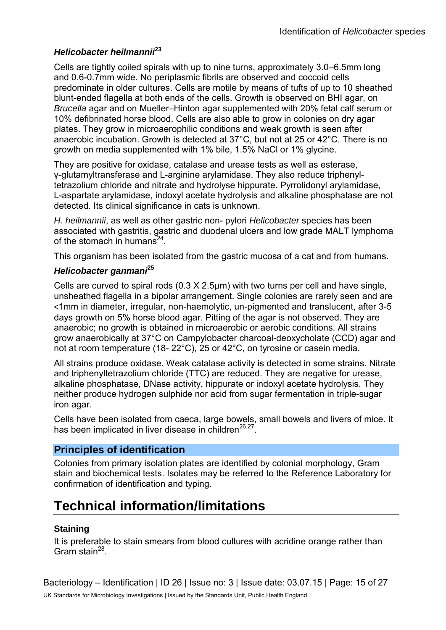#### *Helicobacter heilmannii***<sup>23</sup>**

Cells are tightly coiled spirals with up to nine turns, approximately 3.0–6.5mm long and 0.6-0.7mm wide. No periplasmic fibrils are observed and coccoid cells predominate in older cultures. Cells are motile by means of tufts of up to 10 sheathed blunt-ended flagella at both ends of the cells. Growth is observed on BHI agar, on *Brucella* agar and on Mueller–Hinton agar supplemented with 20% fetal calf serum or 10% defibrinated horse blood. Cells are also able to grow in colonies on dry agar plates. They grow in microaerophilic conditions and weak growth is seen after anaerobic incubation. Growth is detected at 37°C, but not at 25 or 42°C. There is no growth on media supplemented with 1% bile, 1.5% NaCl or 1% glycine.

They are positive for oxidase, catalase and urease tests as well as esterase, γ-glutamyltransferase and L-arginine arylamidase. They also reduce triphenyltetrazolium chloride and nitrate and hydrolyse hippurate. Pyrrolidonyl arylamidase, L-aspartate arylamidase, indoxyl acetate hydrolysis and alkaline phosphatase are not detected. Its clinical significance in cats is unknown.

*H. heilmannii*, as well as other gastric non- pylori *Helicobacter* species has been associated with gastritis, gastric and duodenal ulcers and low grade MALT lymphoma of the stomach in humans<sup>24</sup>.

This organism has been isolated from the gastric mucosa of a cat and from humans.

### *Helicobacter ganmani***<sup>25</sup>**

Cells are curved to spiral rods (0.3 X 2.5µm) with two turns per cell and have single, unsheathed flagella in a bipolar arrangement. Single colonies are rarely seen and are <1mm in diameter, irregular, non-haemolytic, un-pigmented and translucent, after 3-5 days growth on 5% horse blood agar. Pitting of the agar is not observed. They are anaerobic; no growth is obtained in microaerobic or aerobic conditions. All strains grow anaerobically at 37°C on Campylobacter charcoal-deoxycholate (CCD) agar and not at room temperature (18- 22°C), 25 or 42°C, on tyrosine or casein media.

All strains produce oxidase. Weak catalase activity is detected in some strains. Nitrate and triphenyltetrazolium chloride (TTC) are reduced. They are negative for urease, alkaline phosphatase, DNase activity, hippurate or indoxyl acetate hydrolysis. They neither produce hydrogen sulphide nor acid from sugar fermentation in triple-sugar iron agar.

Cells have been isolated from caeca, large bowels, small bowels and livers of mice. It has been implicated in liver disease in children<sup>26,27</sup>.

## **Principles of identification**

Colonies from primary isolation plates are identified by colonial morphology, Gram stain and biochemical tests. Isolates may be referred to the Reference Laboratory for confirmation of identification and typing.

# **Technical information/limitations**

### **Staining**

It is preferable to stain smears from blood cultures with acridine orange rather than Gram stain $^{28}$ .

Bacteriology – Identification | ID 26 | Issue no: 3 | Issue date: 03.07.15 | Page: 15 of 27 UK Standards for Microbiology Investigations | Issued by the Standards Unit, Public Health England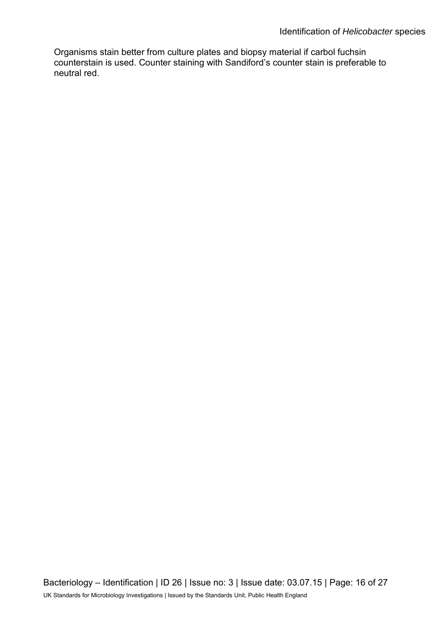Organisms stain better from culture plates and biopsy material if carbol fuchsin counterstain is used. Counter staining with Sandiford's counter stain is preferable to neutral red.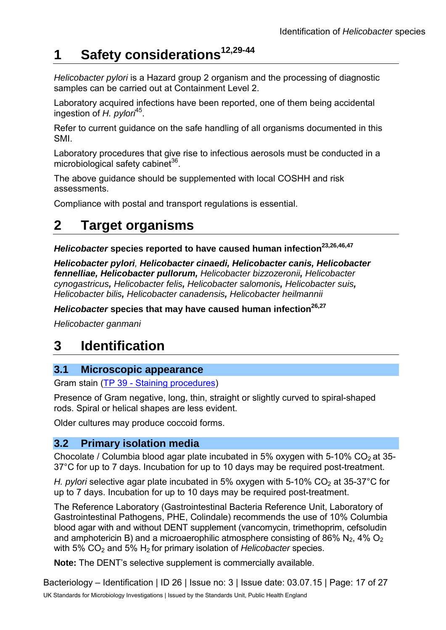# **1 Safety considerations12,29-44**

*Helicobacter pylori* is a Hazard group 2 organism and the processing of diagnostic samples can be carried out at Containment Level 2.

Laboratory acquired infections have been reported, one of them being accidental ingestion of *H. pylori*45.

Refer to current guidance on the safe handling of all organisms documented in this SMI.

Laboratory procedures that give rise to infectious aerosols must be conducted in a microbiological safety cabinet $36$ .

The above guidance should be supplemented with local COSHH and risk assessments.

Compliance with postal and transport regulations is essential.

# **2 Target organisms**

*Helicobacter* species reported to have caused human infection<sup>23,26,46,47</sup>

*Helicobacter pylori, Helicobacter cinaedi, Helicobacter canis, Helicobacter fennelliae, Helicobacter pullorum, Helicobacter bizzozeronii, Helicobacter cynogastricus, Helicobacter felis, Helicobacter salomonis, Helicobacter suis, Helicobacter bilis, Helicobacter canadensis, Helicobacter heilmannii*

*Helicobacter* species that may have caused human infection<sup>26,27</sup>

*Helicobacter ganmani*

# **3 Identification**

## **3.1 Microscopic appearance**

Gram stain [\(TP 39 - Staining procedures\)](https://www.gov.uk/government/collections/standards-for-microbiology-investigations-smi#test-procedures)

Presence of Gram negative, long, thin, straight or slightly curved to spiral-shaped rods. Spiral or helical shapes are less evident.

Older cultures may produce coccoid forms.

## **3.2 Primary isolation media**

Chocolate / Columbia blood agar plate incubated in 5% oxygen with 5-10%  $CO<sub>2</sub>$  at 35-37°C for up to 7 days. Incubation for up to 10 days may be required post-treatment.

*H. pylori* selective agar plate incubated in 5% oxygen with 5-10% CO<sub>2</sub> at 35-37°C for up to 7 days. Incubation for up to 10 days may be required post-treatment.

The Reference Laboratory (Gastrointestinal Bacteria Reference Unit, Laboratory of Gastrointestinal Pathogens, PHE, Colindale) recommends the use of 10% Columbia blood agar with and without DENT supplement (vancomycin, trimethoprim, cefsoludin and amphotericin B) and a microaerophilic atmosphere consisting of 86% N<sub>2</sub>, 4% O<sub>2</sub> with 5% CO<sub>2</sub> and 5% H<sub>2</sub> for primary isolation of *Helicobacter* species.

**Note:** The DENT's selective supplement is commercially available.

Bacteriology – Identification | ID 26 | Issue no: 3 | Issue date: 03.07.15 | Page: 17 of 27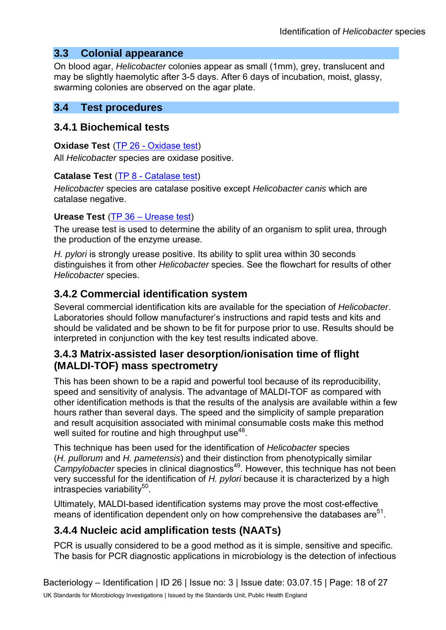# **3.3 Colonial appearance**

On blood agar, *Helicobacter* colonies appear as small (1mm), grey, translucent and may be slightly haemolytic after 3-5 days. After 6 days of incubation, moist, glassy, swarming colonies are observed on the agar plate.

### **3.4 Test procedures**

### **3.4.1 Biochemical tests**

#### **Oxidase Test** [\(TP 26 - Oxidase test\)](https://www.gov.uk/government/collections/standards-for-microbiology-investigations-smi#test-procedures)

All *Helicobacter* species are oxidase positive.

### **Catalase Test** [\(TP 8 - Catalase test\)](https://www.gov.uk/government/collections/standards-for-microbiology-investigations-smi#test-procedures)

*Helicobacter* species are catalase positive except *Helicobacter canis* which are catalase negative.

### **Urease Test** (TP [36 – Urease test\)](https://www.gov.uk/government/collections/standards-for-microbiology-investigations-smi#test-procedures)

The urease test is used to determine the ability of an organism to split urea, through the production of the enzyme urease.

*H. pylori* is strongly urease positive. Its ability to split urea within 30 seconds distinguishes it from other *Helicobacter* species. See the flowchart for results of other *Helicobacter* species.

# **3.4.2 Commercial identification system**

Several commercial identification kits are available for the speciation of *Helicobacter*. Laboratories should follow manufacturer's instructions and rapid tests and kits and should be validated and be shown to be fit for purpose prior to use. Results should be interpreted in conjunction with the key test results indicated above.

# **3.4.3 Matrix-assisted laser desorption/ionisation time of flight (MALDI-TOF) mass spectrometry**

This has been shown to be a rapid and powerful tool because of its reproducibility, speed and sensitivity of analysis. The advantage of MALDI-TOF as compared with other identification methods is that the results of the analysis are available within a few hours rather than several days. The speed and the simplicity of sample preparation and result acquisition associated with minimal consumable costs make this method well suited for routine and high throughput use<sup>48</sup>.

This technique has been used for the identification of *Helicobacter* species (*H. pullorum* and *H. pametensis*) and their distinction from phenotypically similar *Campylobacter* species in clinical diagnostics<sup>49</sup>. However, this technique has not been very successful for the identification of *H. pylori* because it is characterized by a high  $intraspecies$  variability $50$ .

Ultimately, MALDI-based identification systems may prove the most cost-effective means of identification dependent only on how comprehensive the databases are $51$ .

# **3.4.4 Nucleic acid amplification tests (NAATs)**

PCR is usually considered to be a good method as it is simple, sensitive and specific. The basis for PCR diagnostic applications in microbiology is the detection of infectious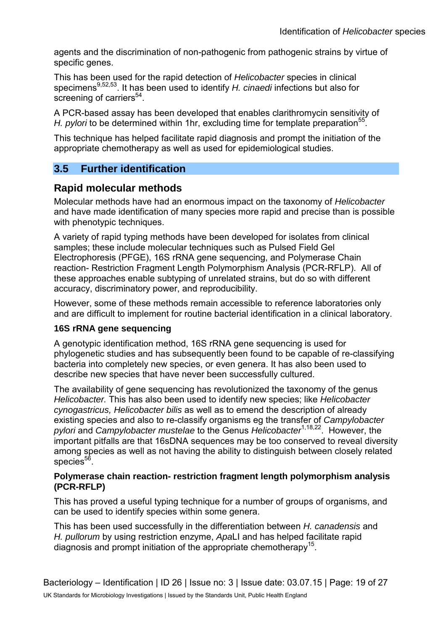agents and the discrimination of non-pathogenic from pathogenic strains by virtue of specific genes.

This has been used for the rapid detection of *Helicobacter* species in clinical specimens9,52,53. It has been used to identify *H. cinaedi* infections but also for screening of carriers $54$ .

A PCR-based assay has been developed that enables clarithromycin sensitivity of *H. pylori* to be determined within 1hr, excluding time for template preparation<sup>55</sup>.

This technique has helped facilitate rapid diagnosis and prompt the initiation of the appropriate chemotherapy as well as used for epidemiological studies.

# **3.5 Further identification**

# **Rapid molecular methods**

Molecular methods have had an enormous impact on the taxonomy of *Helicobacter* and have made identification of many species more rapid and precise than is possible with phenotypic techniques.

A variety of rapid typing methods have been developed for isolates from clinical samples; these include molecular techniques such as Pulsed Field Gel Electrophoresis (PFGE), 16S rRNA gene sequencing, and Polymerase Chain reaction- Restriction Fragment Length Polymorphism Analysis (PCR-RFLP). All of these approaches enable subtyping of unrelated strains, but do so with different accuracy, discriminatory power, and reproducibility.

However, some of these methods remain accessible to reference laboratories only and are difficult to implement for routine bacterial identification in a clinical laboratory.

### **16S rRNA gene sequencing**

A genotypic identification method, 16S rRNA gene sequencing is used for phylogenetic studies and has subsequently been found to be capable of re-classifying bacteria into completely new species, or even genera. It has also been used to describe new species that have never been successfully cultured.

The availability of gene sequencing has revolutionized the taxonomy of the genus *Helicobacter.* This has also been used to identify new species; like *Helicobacter cynogastricus, Helicobacter bilis* as well as to emend the description of already existing species and also to re-classify organisms eg the transfer of *Campylobacter pylori* and *Campylobacter mustelae* to the Genus *Helicobacter*1,18,22. However, the important pitfalls are that 16sDNA sequences may be too conserved to reveal diversity among species as well as not having the ability to distinguish between closely related species $56$ .

#### **Polymerase chain reaction- restriction fragment length polymorphism analysis (PCR-RFLP)**

This has proved a useful typing technique for a number of groups of organisms, and can be used to identify species within some genera.

This has been used successfully in the differentiation between *H. canadensis* and *H. pullorum* by using restriction enzyme, *Apa*LI and has helped facilitate rapid diagnosis and prompt initiation of the appropriate chemotherapy<sup>15</sup>.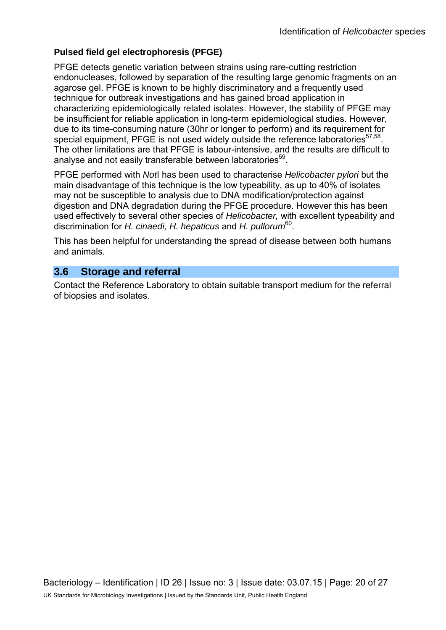### **Pulsed field gel electrophoresis (PFGE)**

PFGE detects genetic variation between strains using rare-cutting restriction endonucleases, followed by separation of the resulting large genomic fragments on an agarose gel. PFGE is known to be highly discriminatory and a frequently used technique for outbreak investigations and has gained broad application in characterizing epidemiologically related isolates. However, the stability of PFGE may be insufficient for reliable application in long-term epidemiological studies. However, due to its time-consuming nature (30hr or longer to perform) and its requirement for special equipment, PFGE is not used widely outside the reference laboratories $57,58$ . The other limitations are that PFGE is labour-intensive, and the results are difficult to analyse and not easily transferable between laboratories<sup>59</sup>.

PFGE performed with *Not*I has been used to characterise *Helicobacter pylori* but the main disadvantage of this technique is the low typeability, as up to 40% of isolates may not be susceptible to analysis due to DNA modification/protection against digestion and DNA degradation during the PFGE procedure. However this has been used effectively to several other species of *Helicobacter,* with excellent typeability and discrimination for *H. cinaedi, H. hepaticus* and *H. pullorum*60.

This has been helpful for understanding the spread of disease between both humans and animals.

## **3.6 Storage and referral**

Contact the Reference Laboratory to obtain suitable transport medium for the referral of biopsies and isolates.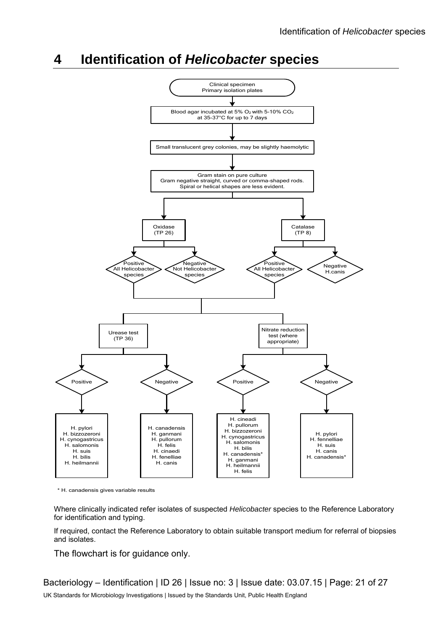# **4 Identification of** *Helicobacter* **species**



\* H. canadensis gives variable results

Where clinically indicated refer isolates of suspected *Helicobacter* species to the Reference Laboratory for identification and typing.

If required, contact the Reference Laboratory to obtain suitable transport medium for referral of biopsies and isolates.

The flowchart is for guidance only.

Bacteriology – Identification | ID 26 | Issue no: 3 | Issue date: 03.07.15 | Page: 21 of 27 UK Standards for Microbiology Investigations | Issued by the Standards Unit, Public Health England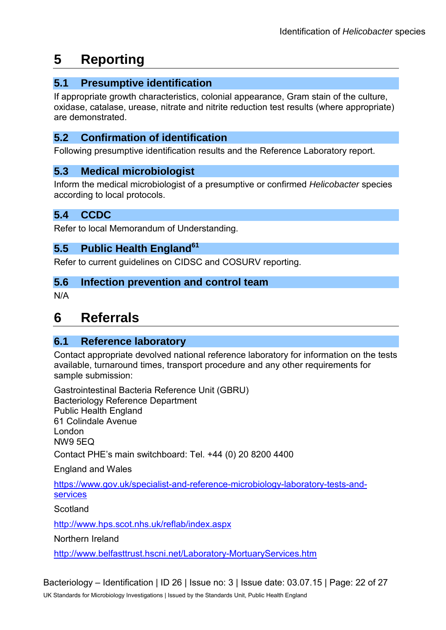# **5 Reporting**

# **5.1 Presumptive identification**

If appropriate growth characteristics, colonial appearance, Gram stain of the culture, oxidase, catalase, urease, nitrate and nitrite reduction test results (where appropriate) are demonstrated.

# **5.2 Confirmation of identification**

Following presumptive identification results and the Reference Laboratory report.

# **5.3 Medical microbiologist**

Inform the medical microbiologist of a presumptive or confirmed *Helicobacter* species according to local protocols.

# **5.4 CCDC**

Refer to local Memorandum of Understanding.

# **5.5 Public Health England<sup>61</sup>**

Refer to current guidelines on CIDSC and COSURV reporting.

### **5.6 Infection prevention and control team**

N/A

# **6 Referrals**

## **6.1 Reference laboratory**

Contact appropriate devolved national reference laboratory for information on the tests available, turnaround times, transport procedure and any other requirements for sample submission:

Gastrointestinal Bacteria Reference Unit (GBRU) Bacteriology Reference Department Public Health England 61 Colindale Avenue London NW9 5EQ Contact PHE's main switchboard: Tel. +44 (0) 20 8200 4400

England and Wales

[https://www.gov.uk/specialist-and-reference-microbiology-laboratory-tests-and](https://www.gov.uk/specialist-and-reference-microbiology-laboratory-tests-and-services)[services](https://www.gov.uk/specialist-and-reference-microbiology-laboratory-tests-and-services) 

#### **Scotland**

<http://www.hps.scot.nhs.uk/reflab/index.aspx>

Northern Ireland

<http://www.belfasttrust.hscni.net/Laboratory-MortuaryServices.htm>

Bacteriology – Identification | ID 26 | Issue no: 3 | Issue date: 03.07.15 | Page: 22 of 27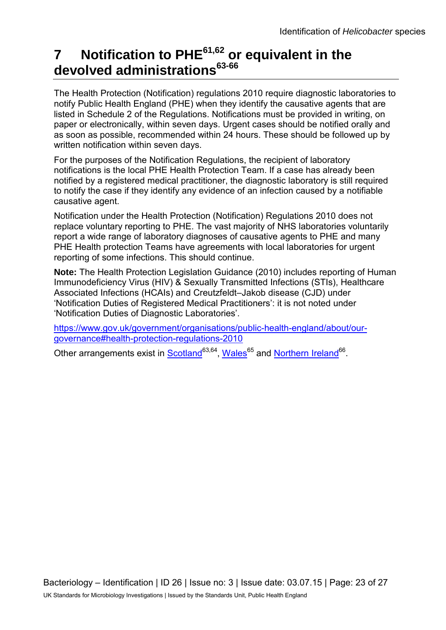# **7 Notification to PHE61,62 or equivalent in the devolved administrations63-66**

The Health Protection (Notification) regulations 2010 require diagnostic laboratories to notify Public Health England (PHE) when they identify the causative agents that are listed in Schedule 2 of the Regulations. Notifications must be provided in writing, on paper or electronically, within seven days. Urgent cases should be notified orally and as soon as possible, recommended within 24 hours. These should be followed up by written notification within seven days.

For the purposes of the Notification Regulations, the recipient of laboratory notifications is the local PHE Health Protection Team. If a case has already been notified by a registered medical practitioner, the diagnostic laboratory is still required to notify the case if they identify any evidence of an infection caused by a notifiable causative agent.

Notification under the Health Protection (Notification) Regulations 2010 does not replace voluntary reporting to PHE. The vast majority of NHS laboratories voluntarily report a wide range of laboratory diagnoses of causative agents to PHE and many PHE Health protection Teams have agreements with local laboratories for urgent reporting of some infections. This should continue.

**Note:** The Health Protection Legislation Guidance (2010) includes reporting of Human Immunodeficiency Virus (HIV) & Sexually Transmitted Infections (STIs), Healthcare Associated Infections (HCAIs) and Creutzfeldt–Jakob disease (CJD) under 'Notification Duties of Registered Medical Practitioners': it is not noted under 'Notification Duties of Diagnostic Laboratories'.

[https://www.gov.uk/government/organisations/public-health-england/about/our](https://www.gov.uk/government/organisations/public-health-england/about/our-governance#health-protection-regulations-2010)[governance#health-protection-regulations-2010](https://www.gov.uk/government/organisations/public-health-england/about/our-governance#health-protection-regulations-2010) 

Other arrangements exist in [Scotland](http://www.scotland.gov.uk/Topics/Health/Policy/Public-Health-Act/Implementation/Guidance/Guidance-Part2)<sup>63,64</sup>, Wales<sup>65</sup> and [Northern Ireland](http://www.publichealth.hscni.net/directorate-public-health/health-protection)<sup>66</sup>.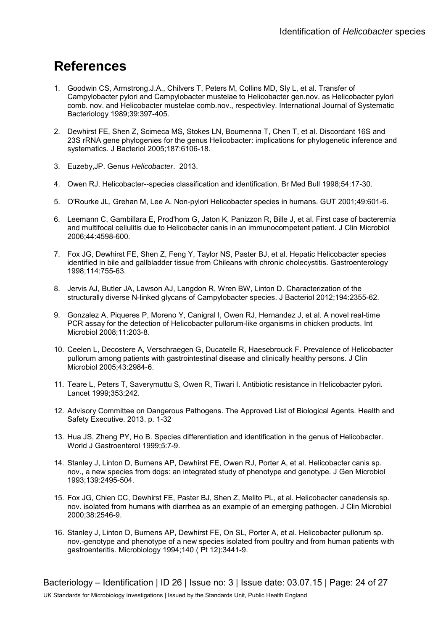# **References**

- 1. Goodwin CS, Armstrong.J.A., Chilvers T, Peters M, Collins MD, Sly L, et al. Transfer of Campylobacter pylori and Campylobacter mustelae to Helicobacter gen.nov. as Helicobacter pylori comb. nov. and Helicobacter mustelae comb.nov., respectivley. International Journal of Systematic Bacteriology 1989;39:397-405.
- 2. Dewhirst FE, Shen Z, Scimeca MS, Stokes LN, Boumenna T, Chen T, et al. Discordant 16S and 23S rRNA gene phylogenies for the genus Helicobacter: implications for phylogenetic inference and systematics. J Bacteriol 2005;187:6106-18.
- 3. Euzeby,JP. Genus *Helicobacter*. 2013.
- 4. Owen RJ. Helicobacter--species classification and identification. Br Med Bull 1998;54:17-30.
- 5. O'Rourke JL, Grehan M, Lee A. Non-pylori Helicobacter species in humans. GUT 2001;49:601-6.
- 6. Leemann C, Gambillara E, Prod'hom G, Jaton K, Panizzon R, Bille J, et al. First case of bacteremia and multifocal cellulitis due to Helicobacter canis in an immunocompetent patient. J Clin Microbiol 2006;44:4598-600.
- 7. Fox JG, Dewhirst FE, Shen Z, Feng Y, Taylor NS, Paster BJ, et al. Hepatic Helicobacter species identified in bile and gallbladder tissue from Chileans with chronic cholecystitis. Gastroenterology 1998;114:755-63.
- 8. Jervis AJ, Butler JA, Lawson AJ, Langdon R, Wren BW, Linton D. Characterization of the structurally diverse N-linked glycans of Campylobacter species. J Bacteriol 2012;194:2355-62.
- 9. Gonzalez A, Piqueres P, Moreno Y, Canigral I, Owen RJ, Hernandez J, et al. A novel real-time PCR assay for the detection of Helicobacter pullorum-like organisms in chicken products. Int Microbiol 2008;11:203-8.
- 10. Ceelen L, Decostere A, Verschraegen G, Ducatelle R, Haesebrouck F. Prevalence of Helicobacter pullorum among patients with gastrointestinal disease and clinically healthy persons. J Clin Microbiol 2005;43:2984-6.
- 11. Teare L, Peters T, Saverymuttu S, Owen R, Tiwari I. Antibiotic resistance in Helicobacter pylori. Lancet 1999;353:242.
- 12. Advisory Committee on Dangerous Pathogens. The Approved List of Biological Agents. Health and Safety Executive. 2013. p. 1-32
- 13. Hua JS, Zheng PY, Ho B. Species differentiation and identification in the genus of Helicobacter. World J Gastroenterol 1999;5:7-9.
- 14. Stanley J, Linton D, Burnens AP, Dewhirst FE, Owen RJ, Porter A, et al. Helicobacter canis sp. nov., a new species from dogs: an integrated study of phenotype and genotype. J Gen Microbiol 1993;139:2495-504.
- 15. Fox JG, Chien CC, Dewhirst FE, Paster BJ, Shen Z, Melito PL, et al. Helicobacter canadensis sp. nov. isolated from humans with diarrhea as an example of an emerging pathogen. J Clin Microbiol 2000;38:2546-9.
- 16. Stanley J, Linton D, Burnens AP, Dewhirst FE, On SL, Porter A, et al. Helicobacter pullorum sp. nov.-genotype and phenotype of a new species isolated from poultry and from human patients with gastroenteritis. Microbiology 1994;140 ( Pt 12):3441-9.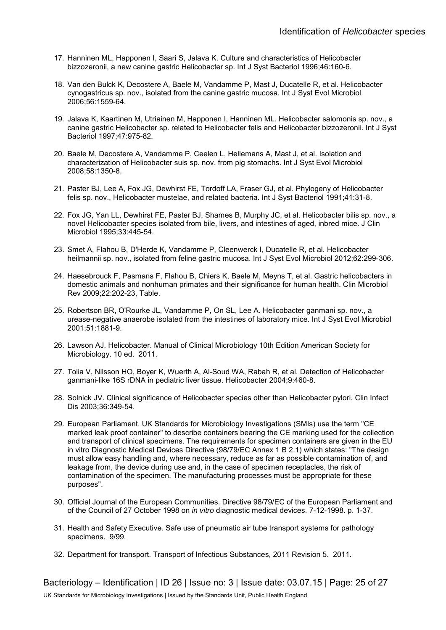- 17. Hanninen ML, Happonen I, Saari S, Jalava K. Culture and characteristics of Helicobacter bizzozeronii, a new canine gastric Helicobacter sp. Int J Syst Bacteriol 1996;46:160-6.
- 18. Van den Bulck K, Decostere A, Baele M, Vandamme P, Mast J, Ducatelle R, et al. Helicobacter cynogastricus sp. nov., isolated from the canine gastric mucosa. Int J Syst Evol Microbiol 2006;56:1559-64.
- 19. Jalava K, Kaartinen M, Utriainen M, Happonen I, Hanninen ML. Helicobacter salomonis sp. nov., a canine gastric Helicobacter sp. related to Helicobacter felis and Helicobacter bizzozeronii. Int J Syst Bacteriol 1997;47:975-82.
- 20. Baele M, Decostere A, Vandamme P, Ceelen L, Hellemans A, Mast J, et al. Isolation and characterization of Helicobacter suis sp. nov. from pig stomachs. Int J Syst Evol Microbiol 2008;58:1350-8.
- 21. Paster BJ, Lee A, Fox JG, Dewhirst FE, Tordoff LA, Fraser GJ, et al. Phylogeny of Helicobacter felis sp. nov., Helicobacter mustelae, and related bacteria. Int J Syst Bacteriol 1991;41:31-8.
- 22. Fox JG, Yan LL, Dewhirst FE, Paster BJ, Shames B, Murphy JC, et al. Helicobacter bilis sp. nov., a novel Helicobacter species isolated from bile, livers, and intestines of aged, inbred mice. J Clin Microbiol 1995;33:445-54.
- 23. Smet A, Flahou B, D'Herde K, Vandamme P, Cleenwerck I, Ducatelle R, et al. Helicobacter heilmannii sp. nov., isolated from feline gastric mucosa. Int J Syst Evol Microbiol 2012;62:299-306.
- 24. Haesebrouck F, Pasmans F, Flahou B, Chiers K, Baele M, Meyns T, et al. Gastric helicobacters in domestic animals and nonhuman primates and their significance for human health. Clin Microbiol Rev 2009;22:202-23, Table.
- 25. Robertson BR, O'Rourke JL, Vandamme P, On SL, Lee A. Helicobacter ganmani sp. nov., a urease-negative anaerobe isolated from the intestines of laboratory mice. Int J Syst Evol Microbiol 2001;51:1881-9.
- 26. Lawson AJ. Helicobacter. Manual of Clinical Microbiology 10th Edition American Society for Microbiology. 10 ed. 2011.
- 27. Tolia V, Nilsson HO, Boyer K, Wuerth A, Al-Soud WA, Rabah R, et al. Detection of Helicobacter ganmani-like 16S rDNA in pediatric liver tissue. Helicobacter 2004;9:460-8.
- 28. Solnick JV. Clinical significance of Helicobacter species other than Helicobacter pylori. Clin Infect Dis 2003;36:349-54.
- 29. European Parliament. UK Standards for Microbiology Investigations (SMIs) use the term "CE marked leak proof container" to describe containers bearing the CE marking used for the collection and transport of clinical specimens. The requirements for specimen containers are given in the EU in vitro Diagnostic Medical Devices Directive (98/79/EC Annex 1 B 2.1) which states: "The design must allow easy handling and, where necessary, reduce as far as possible contamination of, and leakage from, the device during use and, in the case of specimen receptacles, the risk of contamination of the specimen. The manufacturing processes must be appropriate for these purposes".
- 30. Official Journal of the European Communities. Directive 98/79/EC of the European Parliament and of the Council of 27 October 1998 on *in vitro* diagnostic medical devices. 7-12-1998. p. 1-37.
- 31. Health and Safety Executive. Safe use of pneumatic air tube transport systems for pathology specimens. 9/99.
- 32. Department for transport. Transport of Infectious Substances, 2011 Revision 5. 2011.

Bacteriology – Identification | ID 26 | Issue no: 3 | Issue date: 03.07.15 | Page: 25 of 27 UK Standards for Microbiology Investigations | Issued by the Standards Unit, Public Health England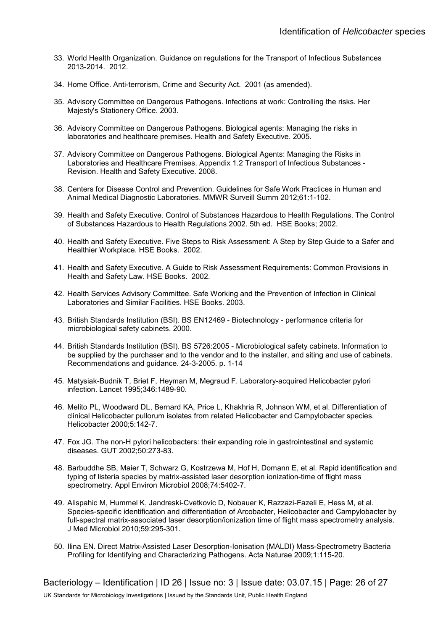- 33. World Health Organization. Guidance on regulations for the Transport of Infectious Substances 2013-2014. 2012.
- 34. Home Office. Anti-terrorism, Crime and Security Act. 2001 (as amended).
- 35. Advisory Committee on Dangerous Pathogens. Infections at work: Controlling the risks. Her Majesty's Stationery Office. 2003.
- 36. Advisory Committee on Dangerous Pathogens. Biological agents: Managing the risks in laboratories and healthcare premises. Health and Safety Executive. 2005.
- 37. Advisory Committee on Dangerous Pathogens. Biological Agents: Managing the Risks in Laboratories and Healthcare Premises. Appendix 1.2 Transport of Infectious Substances - Revision. Health and Safety Executive. 2008.
- 38. Centers for Disease Control and Prevention. Guidelines for Safe Work Practices in Human and Animal Medical Diagnostic Laboratories. MMWR Surveill Summ 2012;61:1-102.
- 39. Health and Safety Executive. Control of Substances Hazardous to Health Regulations. The Control of Substances Hazardous to Health Regulations 2002. 5th ed. HSE Books; 2002.
- 40. Health and Safety Executive. Five Steps to Risk Assessment: A Step by Step Guide to a Safer and Healthier Workplace. HSE Books. 2002.
- 41. Health and Safety Executive. A Guide to Risk Assessment Requirements: Common Provisions in Health and Safety Law. HSE Books. 2002.
- 42. Health Services Advisory Committee. Safe Working and the Prevention of Infection in Clinical Laboratories and Similar Facilities. HSE Books. 2003.
- 43. British Standards Institution (BSI). BS EN12469 Biotechnology performance criteria for microbiological safety cabinets. 2000.
- 44. British Standards Institution (BSI). BS 5726:2005 Microbiological safety cabinets. Information to be supplied by the purchaser and to the vendor and to the installer, and siting and use of cabinets. Recommendations and guidance. 24-3-2005. p. 1-14
- 45. Matysiak-Budnik T, Briet F, Heyman M, Megraud F. Laboratory-acquired Helicobacter pylori infection. Lancet 1995;346:1489-90.
- 46. Melito PL, Woodward DL, Bernard KA, Price L, Khakhria R, Johnson WM, et al. Differentiation of clinical Helicobacter pullorum isolates from related Helicobacter and Campylobacter species. Helicobacter 2000;5:142-7.
- 47. Fox JG. The non-H pylori helicobacters: their expanding role in gastrointestinal and systemic diseases. GUT 2002;50:273-83.
- 48. Barbuddhe SB, Maier T, Schwarz G, Kostrzewa M, Hof H, Domann E, et al. Rapid identification and typing of listeria species by matrix-assisted laser desorption ionization-time of flight mass spectrometry. Appl Environ Microbiol 2008;74:5402-7.
- 49. Alispahic M, Hummel K, Jandreski-Cvetkovic D, Nobauer K, Razzazi-Fazeli E, Hess M, et al. Species-specific identification and differentiation of Arcobacter, Helicobacter and Campylobacter by full-spectral matrix-associated laser desorption/ionization time of flight mass spectrometry analysis. J Med Microbiol 2010;59:295-301.
- 50. Ilina EN. Direct Matrix-Assisted Laser Desorption-Ionisation (MALDI) Mass-Spectrometry Bacteria Profiling for Identifying and Characterizing Pathogens. Acta Naturae 2009;1:115-20.